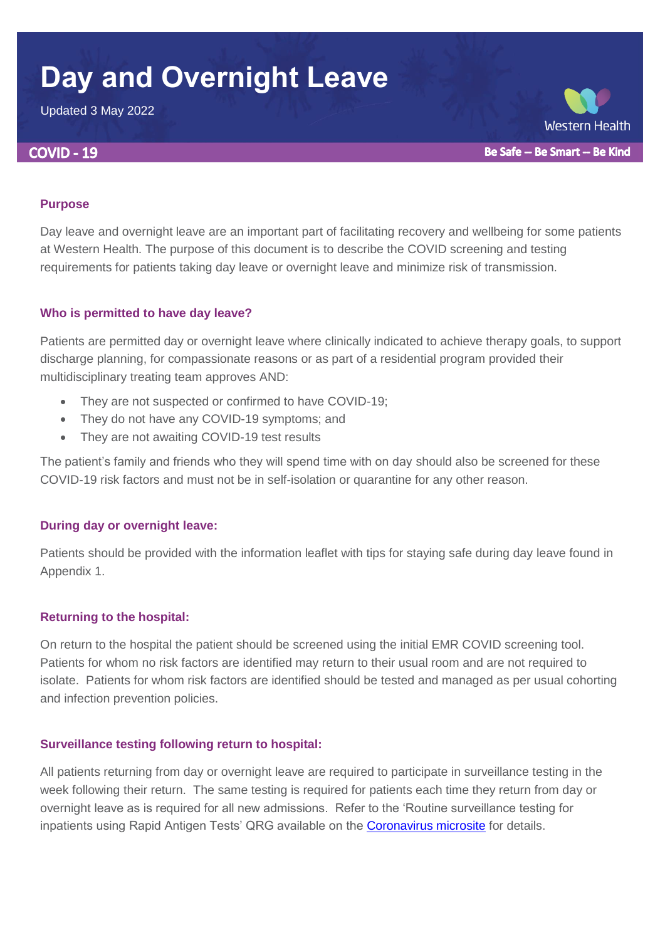# **Day and Overnight Leave**

Updated 3 May 2022

#### **COVID - 19**

**Western Health** Be Safe -- Be Smart -- Be Kind

#### **Purpose**

Day leave and overnight leave are an important part of facilitating recovery and wellbeing for some patients at Western Health. The purpose of this document is to describe the COVID screening and testing requirements for patients taking day leave or overnight leave and minimize risk of transmission.

#### **Who is permitted to have day leave?**

Patients are permitted day or overnight leave where clinically indicated to achieve therapy goals, to support discharge planning, for compassionate reasons or as part of a residential program provided their multidisciplinary treating team approves AND:

- They are not suspected or confirmed to have COVID-19;
- They do not have any COVID-19 symptoms; and
- They are not awaiting COVID-19 test results

The patient's family and friends who they will spend time with on day should also be screened for these COVID-19 risk factors and must not be in self-isolation or quarantine for any other reason.

#### **During day or overnight leave:**

Patients should be provided with the information leaflet with tips for staying safe during day leave found in Appendix 1.

#### **Returning to the hospital:**

On return to the hospital the patient should be screened using the initial EMR COVID screening tool. Patients for whom no risk factors are identified may return to their usual room and are not required to isolate. Patients for whom risk factors are identified should be tested and managed as per usual cohorting and infection prevention policies.

#### **Surveillance testing following return to hospital:**

All patients returning from day or overnight leave are required to participate in surveillance testing in the week following their return. The same testing is required for patients each time they return from day or overnight leave as is required for all new admissions. Refer to the 'Routine surveillance testing for inpatients using Rapid Antigen Tests' QRG available on the [Coronavirus microsite](https://coronavirus.wh.org.au/) for details.